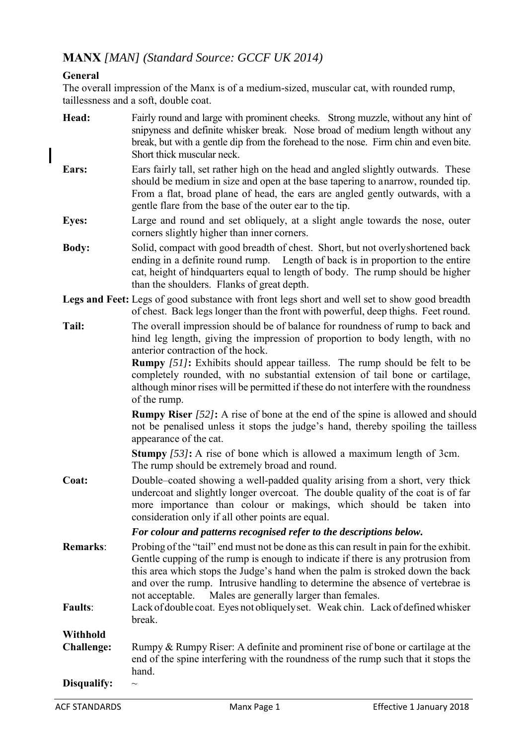# **MANX** *[MAN] (Standard Source: GCCF UK 2014)*

## **General**

 $\mathsf{l}$ 

The overall impression of the Manx is of a medium-sized, muscular cat, with rounded rump, taillessness and a soft, double coat.

| Head:             | Fairly round and large with prominent cheeks. Strong muzzle, without any hint of<br>snipyness and definite whisker break. Nose broad of medium length without any<br>break, but with a gentle dip from the forehead to the nose. Firm chin and even bite.<br>Short thick muscular neck.                                                                                                                                                                                        |  |  |
|-------------------|--------------------------------------------------------------------------------------------------------------------------------------------------------------------------------------------------------------------------------------------------------------------------------------------------------------------------------------------------------------------------------------------------------------------------------------------------------------------------------|--|--|
| Ears:             | Ears fairly tall, set rather high on the head and angled slightly outwards. These<br>should be medium in size and open at the base tapering to anarrow, rounded tip.<br>From a flat, broad plane of head, the ears are angled gently outwards, with a<br>gentle flare from the base of the outer ear to the tip.                                                                                                                                                               |  |  |
| <b>Eyes:</b>      | Large and round and set obliquely, at a slight angle towards the nose, outer<br>corners slightly higher than inner corners.                                                                                                                                                                                                                                                                                                                                                    |  |  |
| <b>Body:</b>      | Solid, compact with good breadth of chest. Short, but not overly shortened back<br>ending in a definite round rump. Length of back is in proportion to the entire<br>cat, height of hindquarters equal to length of body. The rump should be higher<br>than the shoulders. Flanks of great depth.                                                                                                                                                                              |  |  |
|                   | Legs and Feet: Legs of good substance with front legs short and well set to show good breadth<br>of chest. Back legs longer than the front with powerful, deep thighs. Feet round.                                                                                                                                                                                                                                                                                             |  |  |
| Tail:             | The overall impression should be of balance for roundness of rump to back and<br>hind leg length, giving the impression of proportion to body length, with no<br>anterior contraction of the hock.<br><b>Rumpy</b> [51]: Exhibits should appear tailless. The rump should be felt to be<br>completely rounded, with no substantial extension of tail bone or cartilage,<br>although minor rises will be permitted if these do not interfere with the roundness<br>of the rump. |  |  |
|                   | <b>Rumpy Riser</b> [52]: A rise of bone at the end of the spine is allowed and should<br>not be penalised unless it stops the judge's hand, thereby spoiling the tailless<br>appearance of the cat.                                                                                                                                                                                                                                                                            |  |  |
|                   | <b>Stumpy</b> $[53]$ : A rise of bone which is allowed a maximum length of 3cm.<br>The rump should be extremely broad and round.                                                                                                                                                                                                                                                                                                                                               |  |  |
| Coat:             | Double–coated showing a well-padded quality arising from a short, very thick<br>undercoat and slightly longer overcoat. The double quality of the coat is of far<br>more importance than colour or makings, which should be taken into<br>consideration only if all other points are equal.                                                                                                                                                                                    |  |  |
|                   | For colour and patterns recognised refer to the descriptions below.                                                                                                                                                                                                                                                                                                                                                                                                            |  |  |
| <b>Remarks:</b>   | Probing of the "tail" end must not be done as this can result in pain for the exhibit.<br>Gentle cupping of the rump is enough to indicate if there is any protrusion from<br>this area which stops the Judge's hand when the palm is stroked down the back<br>and over the rump. Intrusive handling to determine the absence of vertebrae is<br>Males are generally larger than females.<br>not acceptable.                                                                   |  |  |
| <b>Faults:</b>    | Lack of double coat. Eyes not obliquely set. Weak chin. Lack of defined whisker<br>break.                                                                                                                                                                                                                                                                                                                                                                                      |  |  |
| <b>Withhold</b>   |                                                                                                                                                                                                                                                                                                                                                                                                                                                                                |  |  |
| <b>Challenge:</b> | Rumpy & Rumpy Riser: A definite and prominent rise of bone or cartilage at the<br>end of the spine interfering with the roundness of the rump such that it stops the<br>hand.                                                                                                                                                                                                                                                                                                  |  |  |
| Disqualify:       |                                                                                                                                                                                                                                                                                                                                                                                                                                                                                |  |  |